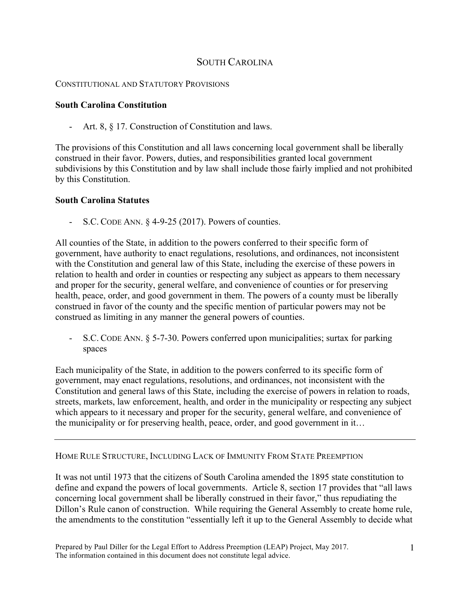## SOUTH CAROLINA

## CONSTITUTIONAL AND STATUTORY PROVISIONS

## **South Carolina Constitution**

- Art. 8, § 17. Construction of Constitution and laws.

The provisions of this Constitution and all laws concerning local government shall be liberally construed in their favor. Powers, duties, and responsibilities granted local government subdivisions by this Constitution and by law shall include those fairly implied and not prohibited by this Constitution.

## **South Carolina Statutes**

- S.C. CODE ANN. § 4-9-25 (2017). Powers of counties.

All counties of the State, in addition to the powers conferred to their specific form of government, have authority to enact regulations, resolutions, and ordinances, not inconsistent with the Constitution and general law of this State, including the exercise of these powers in relation to health and order in counties or respecting any subject as appears to them necessary and proper for the security, general welfare, and convenience of counties or for preserving health, peace, order, and good government in them. The powers of a county must be liberally construed in favor of the county and the specific mention of particular powers may not be construed as limiting in any manner the general powers of counties.

- S.C. CODE ANN. § 5-7-30. Powers conferred upon municipalities; surtax for parking spaces

Each municipality of the State, in addition to the powers conferred to its specific form of government, may enact regulations, resolutions, and ordinances, not inconsistent with the Constitution and general laws of this State, including the exercise of powers in relation to roads, streets, markets, law enforcement, health, and order in the municipality or respecting any subject which appears to it necessary and proper for the security, general welfare, and convenience of the municipality or for preserving health, peace, order, and good government in it…

HOME RULE STRUCTURE, INCLUDING LACK OF IMMUNITY FROM STATE PREEMPTION

It was not until 1973 that the citizens of South Carolina amended the 1895 state constitution to define and expand the powers of local governments. Article 8, section 17 provides that "all laws concerning local government shall be liberally construed in their favor," thus repudiating the Dillon's Rule canon of construction. While requiring the General Assembly to create home rule, the amendments to the constitution "essentially left it up to the General Assembly to decide what